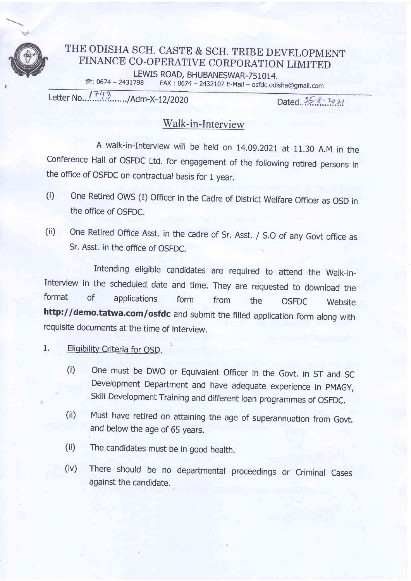

## THE ODISHA SCH. CASTE & SCH. TRIBE DEVELOPMENT FINANCE CO-OPERATIVE CORPORATION LIMITED LEWIS ROAD, BHUBANESWAR-751014.<br> **EXACTLARE:** 0674 - 2431798 FAX: 0674 - 2432107 F-Mail – osfdc.odi FAX: 0674 - 2432107 E-Mail - osfdc.odisha@gmail.com

Letter No...<sup>1743</sup>........./Adm-X-12/2020

Dated  $25.8.2021$ 

# Walk-in-Interview

A walk-in-Interview will be held on L4.09.2021 at 11.30 A.M in the Conference Hall of oSFDC Ltd. for engagement of the following retired persons in the office of OSFDC on contractual basis for 1 year.

- (i) One Retired OWS (I) Officer in the Cadre of District Welfare Officer as OSD in the office of OSFDC.
- (ii) One Retired Office Asst. in the cadre of Sr. Asst. / S.O of any Govt office as Sr. Asst. in the office of OSFDC.

Intending eligible candidates are required to attend the Walk-in-Interview in the scheduled date and time. They are requested to download the format of annivations format from the  $O(5R)$ format of applications form from the OSFDC Website http://demo.tatwa.com/osfdc and submit the filled application form along with requisite documents at the time of interuiew.

- 1. Eligibility Criteria for OSD.
	- (i) One must be DWO or Equivalent Officer in the Govt. in ST and SC Development Department and have adequate experience in PMAGY, Skill Development Training and different loan programmes of OSFDC.
	- (ii) Must have retired on attaining the age of superannuation from Govt. and below the age of 65 years.
	- (ii) The candidates must be in good health.
	- (iv) There should be no departmental proceedings or Criminal Cases against the candidate.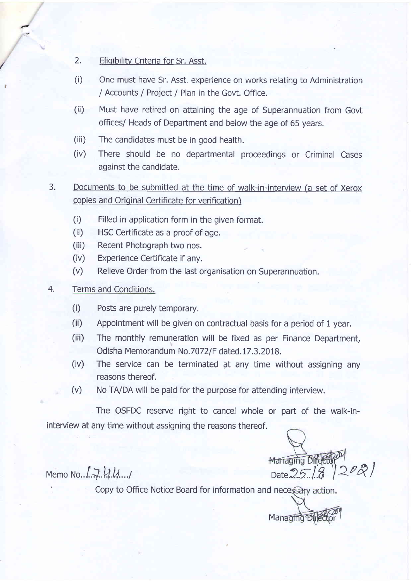- 2. Eligibility Criteria for Sr. Asst.
- (i) One must have Sr. Asst. experience on works relating to Administration / Accounts / Project / Plan in the Govt. Office.
- (ii) Must have retired on attaining the age of Superannuation from Govt offices/ Heads of Department and below the age of 65 years.
- (iii) The candidates must be in good health.
- (iv) There should be no departmental proceedings or Criminal Cases against the candidate.
- 3. Documents to be submitted at the time of walk-in-interview (a set of Xerox copies and Original Certificate for verification)
	- (i) Filled in application form in the given format.
	- (ii) HSC Ceftificate as a proof of age.
	- (iii) Recent Photograph two nos.
	- (iv) Experience Certificate if any.
	- (v) Relieve Order from the last organisation on Superannuation.

#### 4. Terms and Conditions.

,

- (i) Posts are purely temporary.
- (ii) Appointment will be given on contractual basis for a period of 1 year.
- (iii) The monthly remuneration will be fixed as per Finance Department, Odisha Memorandum No.7072/F dated.17.3.2018.
- (iv) The seruice can be terminated at any time without assigning any reasons thereof.
- (v) No TA/DA will be paid for the purpose for attending interuiew.

The OSFDC reserve right to cancel whole or part of the walk-ininterview at any time without assigning the reasons thereof.

Managing Bild Elep<sup>oy</sup><br>
Date 25.18 2021

Managing Dir

Copy to Office Notice Board for information and necessary action.